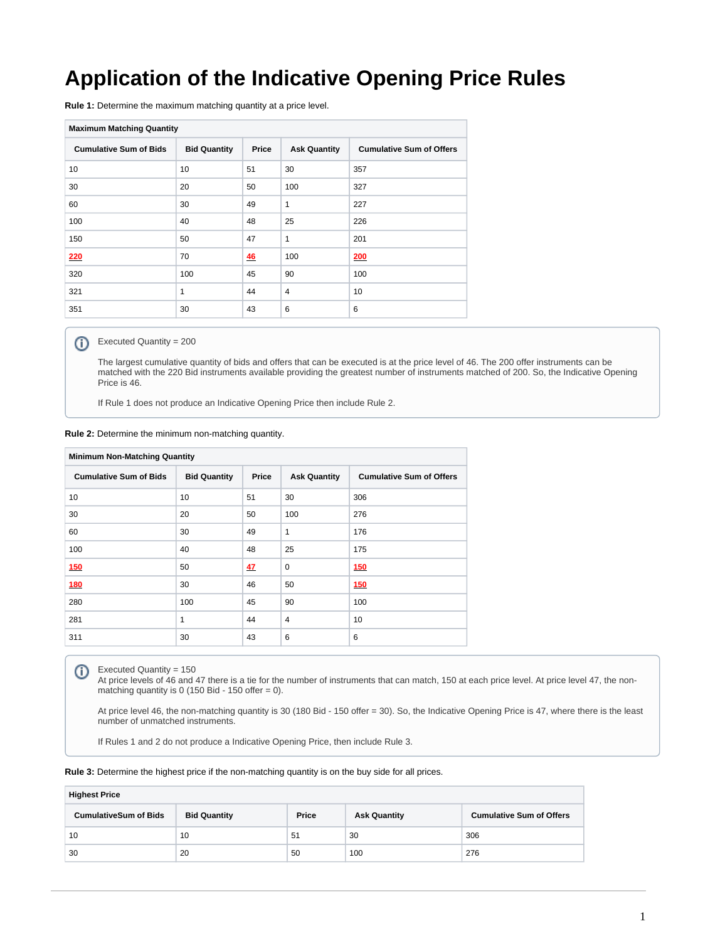## **Application of the Indicative Opening Price Rules**

**Rule 1:** Determine the maximum matching quantity at a price level.

| <b>Maximum Matching Quantity</b> |                     |       |                     |                                 |  |  |
|----------------------------------|---------------------|-------|---------------------|---------------------------------|--|--|
| <b>Cumulative Sum of Bids</b>    | <b>Bid Quantity</b> | Price | <b>Ask Quantity</b> | <b>Cumulative Sum of Offers</b> |  |  |
| 10                               | 10                  | 51    | 30                  | 357                             |  |  |
| 30                               | 20                  | 50    | 100                 | 327                             |  |  |
| 60                               | 30                  | 49    | $\mathbf{1}$        | 227                             |  |  |
| 100                              | 40                  | 48    | 25                  | 226                             |  |  |
| 150                              | 50                  | 47    | $\mathbf{1}$        | 201                             |  |  |
| 220                              | 70                  | 46    | 100                 | 200                             |  |  |
| 320                              | 100                 | 45    | 90                  | 100                             |  |  |
| 321                              | 1                   | 44    | $\overline{4}$      | 10                              |  |  |
| 351                              | 30                  | 43    | 6                   | 6                               |  |  |

## ത Executed Quantity = 200

The largest cumulative quantity of bids and offers that can be executed is at the price level of 46. The 200 offer instruments can be matched with the 220 Bid instruments available providing the greatest number of instruments matched of 200. So, the Indicative Opening Price is 46.

If Rule 1 does not produce an Indicative Opening Price then include Rule 2.

|  |  |  |  |  |  | Rule 2: Determine the minimum non-matching quantity. |  |
|--|--|--|--|--|--|------------------------------------------------------|--|
|--|--|--|--|--|--|------------------------------------------------------|--|

| <b>Minimum Non-Matching Quantity</b> |                     |       |                     |                                 |  |  |
|--------------------------------------|---------------------|-------|---------------------|---------------------------------|--|--|
| <b>Cumulative Sum of Bids</b>        | <b>Bid Quantity</b> | Price | <b>Ask Quantity</b> | <b>Cumulative Sum of Offers</b> |  |  |
| 10                                   | 10                  | 51    | 30                  | 306                             |  |  |
| 30                                   | 20                  | 50    | 100                 | 276                             |  |  |
| 60                                   | 30                  | 49    | 1                   | 176                             |  |  |
| 100                                  | 40                  | 48    | 25                  | 175                             |  |  |
| <b>150</b>                           | 50                  | 47    | $\mathbf 0$         | 150                             |  |  |
| <b>180</b>                           | 30                  | 46    | 50                  | 150                             |  |  |
| 280                                  | 100                 | 45    | 90                  | 100                             |  |  |
| 281                                  | $\mathbf{1}$        | 44    | $\overline{4}$      | 10                              |  |  |
| 311                                  | 30                  | 43    | 6                   | 6                               |  |  |

Executed Quantity = 150

At price levels of 46 and 47 there is a tie for the number of instruments that can match, 150 at each price level. At price level 47, the nonmatching quantity is 0 (150 Bid - 150 offer =  $0$ ).

At price level 46, the non-matching quantity is 30 (180 Bid - 150 offer = 30). So, the Indicative Opening Price is 47, where there is the least number of unmatched instruments.

If Rules 1 and 2 do not produce a Indicative Opening Price, then include Rule 3.

**Rule 3:** Determine the highest price if the non-matching quantity is on the buy side for all prices.

| <b>Highest Price</b>         |                     |       |                     |                                 |  |  |
|------------------------------|---------------------|-------|---------------------|---------------------------------|--|--|
| <b>CumulativeSum of Bids</b> | <b>Bid Quantity</b> | Price | <b>Ask Quantity</b> | <b>Cumulative Sum of Offers</b> |  |  |
| 10                           | 10                  | 51    | 30                  | 306                             |  |  |
| 30                           | 20                  | 50    | 100                 | 276                             |  |  |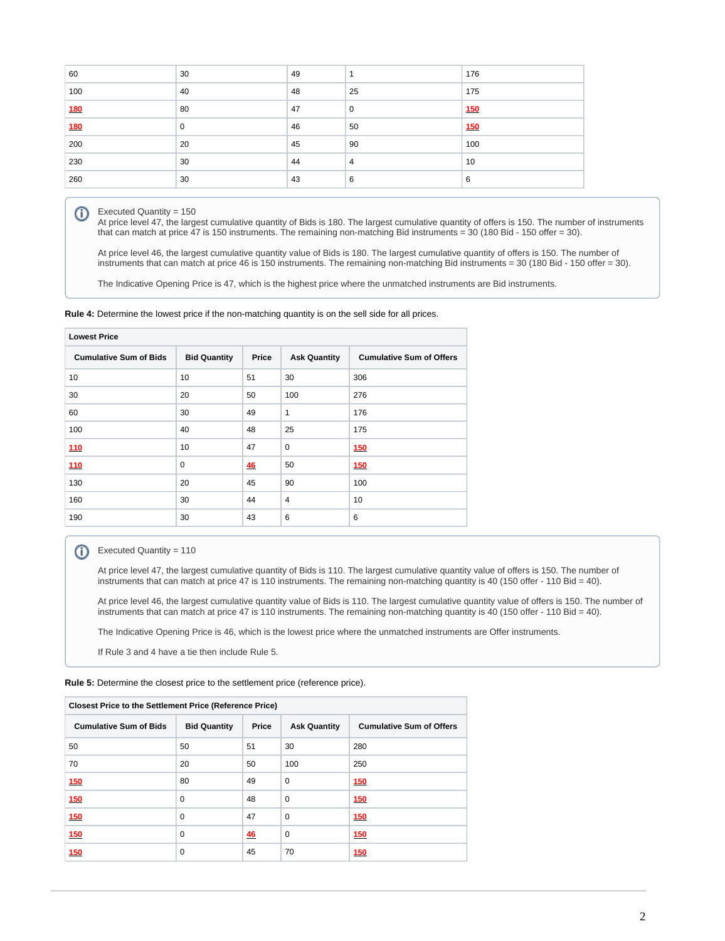| 60  | 30 | 49 |                | 176 |
|-----|----|----|----------------|-----|
| 100 | 40 | 48 | 25             | 175 |
| 180 | 80 | 47 | 0              | 150 |
| 180 | 0  | 46 | 50             | 150 |
| 200 | 20 | 45 | 90             | 100 |
| 230 | 30 | 44 | $\overline{4}$ | 10  |
| 260 | 30 | 43 | 6              | 6   |

## Executed Quantity = 150 ന

At price level 47, the largest cumulative quantity of Bids is 180. The largest cumulative quantity of offers is 150. The number of instruments that can match at price 47 is 150 instruments. The remaining non-matching Bid instruments = 30 (180 Bid - 150 offer = 30).

At price level 46, the largest cumulative quantity value of Bids is 180. The largest cumulative quantity of offers is 150. The number of instruments that can match at price 46 is 150 instruments. The remaining non-matching Bid instruments = 30 (180 Bid - 150 offer = 30).

The Indicative Opening Price is 47, which is the highest price where the unmatched instruments are Bid instruments.

**Rule 4:** Determine the lowest price if the non-matching quantity is on the sell side for all prices.

| <b>Lowest Price</b>           |                     |       |                     |                                 |  |
|-------------------------------|---------------------|-------|---------------------|---------------------------------|--|
| <b>Cumulative Sum of Bids</b> | <b>Bid Quantity</b> | Price | <b>Ask Quantity</b> | <b>Cumulative Sum of Offers</b> |  |
| 10                            | 10                  | 51    | 30                  | 306                             |  |
| 30                            | 20                  | 50    | 100                 | 276                             |  |
| 60                            | 30                  | 49    | $\mathbf{1}$        | 176                             |  |
| 100                           | 40                  | 48    | 25                  | 175                             |  |
| 110                           | 10                  | 47    | $\mathbf 0$         | 150                             |  |
| 110                           | $\mathbf 0$         | 46    | 50                  | 150                             |  |
| 130                           | 20                  | 45    | 90                  | 100                             |  |
| 160                           | 30                  | 44    | $\overline{4}$      | 10                              |  |
| 190                           | 30                  | 43    | 6                   | 6                               |  |

Executed Quantity = 110 ⊕

> At price level 47, the largest cumulative quantity of Bids is 110. The largest cumulative quantity value of offers is 150. The number of instruments that can match at price 47 is 110 instruments. The remaining non-matching quantity is 40 (150 offer - 110 Bid = 40).

At price level 46, the largest cumulative quantity value of Bids is 110. The largest cumulative quantity value of offers is 150. The number of instruments that can match at price 47 is 110 instruments. The remaining non-matching quantity is 40 (150 offer - 110 Bid = 40).

The Indicative Opening Price is 46, which is the lowest price where the unmatched instruments are Offer instruments.

If Rule 3 and 4 have a tie then include Rule 5.

**Rule 5:** Determine the closest price to the settlement price (reference price).

| <b>Closest Price to the Settlement Price (Reference Price)</b> |                     |       |                     |                                 |  |  |
|----------------------------------------------------------------|---------------------|-------|---------------------|---------------------------------|--|--|
| <b>Cumulative Sum of Bids</b>                                  | <b>Bid Quantity</b> | Price | <b>Ask Quantity</b> | <b>Cumulative Sum of Offers</b> |  |  |
| 50                                                             | 50                  | 51    | 30                  | 280                             |  |  |
| 70                                                             | 20                  | 50    | 100                 | 250                             |  |  |
| 150                                                            | 80                  | 49    | 0                   | 150                             |  |  |
| 150                                                            | $\mathbf 0$         | 48    | 0                   | 150                             |  |  |
| <b>150</b>                                                     | $\mathbf 0$         | 47    | $\Omega$            | 150                             |  |  |
| 150                                                            | $\mathbf 0$         | 46    | 0                   | 150                             |  |  |
| 150                                                            | 0                   | 45    | 70                  | 150                             |  |  |